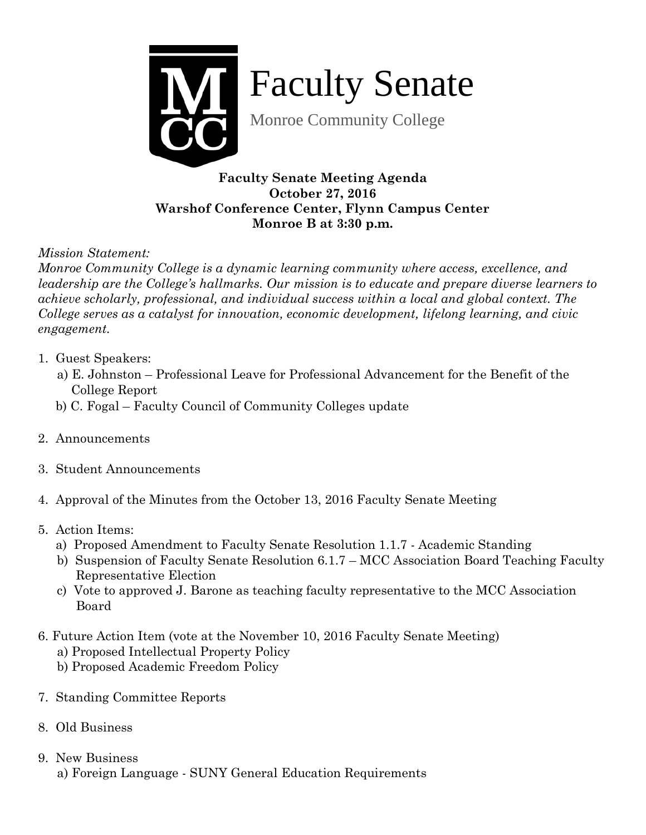

Faculty Senate

Monroe Community College

**Faculty Senate Meeting Agenda October 27, 2016 Warshof Conference Center, Flynn Campus Center Monroe B at 3:30 p.m.** 

*Mission Statement:* 

*Monroe Community College is a dynamic learning community where access, excellence, and leadership are the College's hallmarks. Our mission is to educate and prepare diverse learners to achieve scholarly, professional, and individual success within a local and global context. The College serves as a catalyst for innovation, economic development, lifelong learning, and civic engagement.*

- 1. Guest Speakers:
	- a) E. Johnston Professional Leave for Professional Advancement for the Benefit of the College Report
	- b) C. Fogal Faculty Council of Community Colleges update
- 2. Announcements
- 3. Student Announcements
- 4. Approval of the Minutes from the October 13, 2016 Faculty Senate Meeting
- 5. Action Items:
	- a) Proposed Amendment to Faculty Senate Resolution 1.1.7 Academic Standing
	- b) Suspension of Faculty Senate Resolution 6.1.7 MCC Association Board Teaching Faculty Representative Election
	- c) Vote to approved J. Barone as teaching faculty representative to the MCC Association Board
- 6. Future Action Item (vote at the November 10, 2016 Faculty Senate Meeting)
	- a) Proposed Intellectual Property Policy
	- b) Proposed Academic Freedom Policy
- 7. Standing Committee Reports
- 8. Old Business
- 9. New Business a) Foreign Language - SUNY General Education Requirements